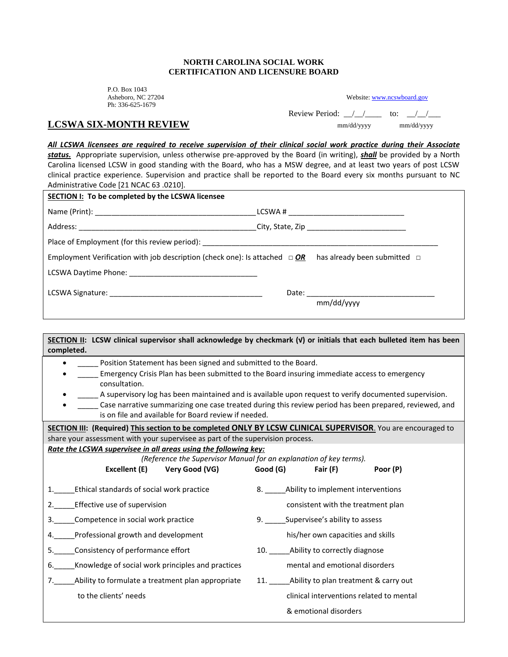## **NORTH CAROLINA SOCIAL WORK CERTIFICATION AND LICENSURE BOARD**

P.O. Box 1043 Asheboro, NC 27204 Ph: 336-625-1679

| Website: www.ncswboard.gov |  |
|----------------------------|--|
|                            |  |

Review Period:  $\angle$   $\angle$   $\angle$  to:  $\angle$   $\angle$ 

## **LCSWA SIX-MONTH REVIEW** mm/dd/yyyy mm/dd/yyyy mm/dd/yyyy

*All LCSWA licensees are required to receive supervision of their clinical social work practice during their Associate* 

*status.* Appropriate supervision, unless otherwise pre-approved by the Board (in writing), *shall* be provided by a North Carolina licensed LCSW in good standing with the Board, who has a MSW degree, and at least two years of post LCSW clinical practice experience. Supervision and practice shall be reported to the Board every six months pursuant to NC Administrative Code [21 NCAC 63 .0210].

| SECTION I: To be completed by the LCSWA licensee                                                                  |  |            |  |  |
|-------------------------------------------------------------------------------------------------------------------|--|------------|--|--|
|                                                                                                                   |  |            |  |  |
|                                                                                                                   |  |            |  |  |
|                                                                                                                   |  |            |  |  |
| Employment Verification with job description (check one): Is attached $\Box$ OR has already been submitted $\Box$ |  |            |  |  |
|                                                                                                                   |  |            |  |  |
|                                                                                                                   |  |            |  |  |
|                                                                                                                   |  | mm/dd/yyyy |  |  |
|                                                                                                                   |  |            |  |  |

| SECTION II: LCSW clinical supervisor shall acknowledge by checkmark (v) or initials that each bulleted item has been |                                                                                                        |  |  |  |
|----------------------------------------------------------------------------------------------------------------------|--------------------------------------------------------------------------------------------------------|--|--|--|
| completed.                                                                                                           |                                                                                                        |  |  |  |
| Position Statement has been signed and submitted to the Board.                                                       |                                                                                                        |  |  |  |
|                                                                                                                      | Emergency Crisis Plan has been submitted to the Board insuring immediate access to emergency           |  |  |  |
| consultation.                                                                                                        |                                                                                                        |  |  |  |
|                                                                                                                      | A supervisory log has been maintained and is available upon request to verify documented supervision.  |  |  |  |
|                                                                                                                      | Case narrative summarizing one case treated during this review period has been prepared, reviewed, and |  |  |  |
| is on file and available for Board review if needed.                                                                 |                                                                                                        |  |  |  |
| SECTION III: (Required) This section to be completed ONLY BY LCSW CLINICAL SUPERVISOR. You are encouraged to         |                                                                                                        |  |  |  |
| share your assessment with your supervisee as part of the supervision process.                                       |                                                                                                        |  |  |  |
| Rate the LCSWA supervisee in all areas using the following key:                                                      | (Reference the Supervisor Manual for an explanation of key terms).                                     |  |  |  |
| Very Good (VG)<br>Excellent (E)                                                                                      | Good (G)<br>Fair (F)<br>Poor (P)                                                                       |  |  |  |
|                                                                                                                      |                                                                                                        |  |  |  |
| Ethical standards of social work practice<br>1.                                                                      | 8. _____Ability to implement interventions                                                             |  |  |  |
| Effective use of supervision<br>2.                                                                                   | consistent with the treatment plan                                                                     |  |  |  |
| Competence in social work practice<br>3.                                                                             | Supervisee's ability to assess                                                                         |  |  |  |
| Professional growth and development<br>4.                                                                            | his/her own capacities and skills                                                                      |  |  |  |
| Consistency of performance effort<br>5.                                                                              | 10. Ability to correctly diagnose                                                                      |  |  |  |
| Knowledge of social work principles and practices<br>6.                                                              | mental and emotional disorders                                                                         |  |  |  |
| Ability to formulate a treatment plan appropriate<br>7.                                                              | 11. Ability to plan treatment & carry out                                                              |  |  |  |
| to the clients' needs                                                                                                | clinical interventions related to mental                                                               |  |  |  |
|                                                                                                                      | & emotional disorders                                                                                  |  |  |  |